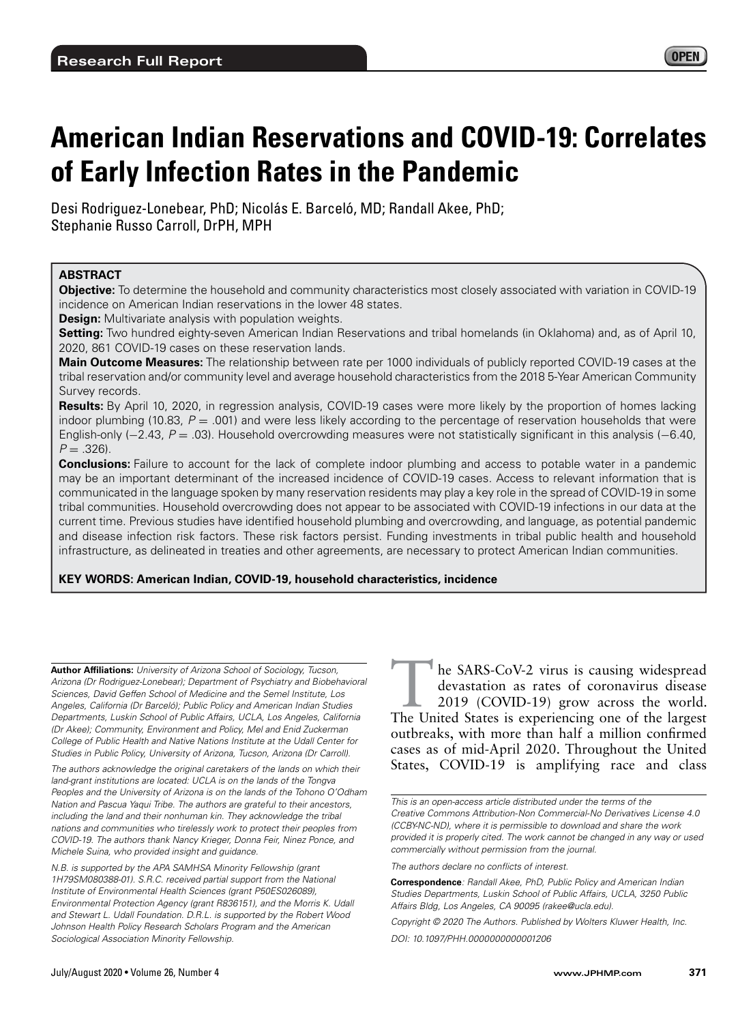

# **American Indian Reservations and COVID-19: Correlates of Early Infection Rates in the Pandemic**

Desi Rodriguez-Lonebear, PhD; Nicolás E. Barceló, MD; Randall Akee, PhD; Stephanie Russo Carroll, DrPH, MPH

#### **ABSTRACT**

**Objective:** To determine the household and community characteristics most closely associated with variation in COVID-19 incidence on American Indian reservations in the lower 48 states.

**Design:** Multivariate analysis with population weights.

**Setting:** Two hundred eighty-seven American Indian Reservations and tribal homelands (in Oklahoma) and, as of April 10, 2020, 861 COVID-19 cases on these reservation lands.

**Main Outcome Measures:** The relationship between rate per 1000 individuals of publicly reported COVID-19 cases at the tribal reservation and/or community level and average household characteristics from the 2018 5-Year American Community Survey records.

**Results:** By April 10, 2020, in regression analysis, COVID-19 cases were more likely by the proportion of homes lacking indoor plumbing (10.83,  $P = .001$ ) and were less likely according to the percentage of reservation households that were English-only (−2.43, P = .03). Household overcrowding measures were not statistically significant in this analysis (−6.40,  $P = .326$ ).

**Conclusions:** Failure to account for the lack of complete indoor plumbing and access to potable water in a pandemic may be an important determinant of the increased incidence of COVID-19 cases. Access to relevant information that is communicated in the language spoken by many reservation residents may play a key role in the spread of COVID-19 in some tribal communities. Household overcrowding does not appear to be associated with COVID-19 infections in our data at the current time. Previous studies have identified household plumbing and overcrowding, and language, as potential pandemic and disease infection risk factors. These risk factors persist. Funding investments in tribal public health and household infrastructure, as delineated in treaties and other agreements, are necessary to protect American Indian communities.

#### **KEY WORDS: American Indian, COVID-19, household characteristics, incidence**

**Author Affiliations:** University of Arizona School of Sociology, Tucson, Arizona (Dr Rodriguez-Lonebear); Department of Psychiatry and Biobehavioral Sciences, David Geffen School of Medicine and the Semel Institute, Los Angeles, California (Dr Barceló); Public Policy and American Indian Studies Departments, Luskin School of Public Affairs, UCLA, Los Angeles, California (Dr Akee); Community, Environment and Policy, Mel and Enid Zuckerman College of Public Health and Native Nations Institute at the Udall Center for Studies in Public Policy, University of Arizona, Tucson, Arizona (Dr Carroll).

The authors acknowledge the original caretakers of the lands on which their land-grant institutions are located: UCLA is on the lands of the Tongva Peoples and the University of Arizona is on the lands of the Tohono O'Odham Nation and Pascua Yaqui Tribe. The authors are grateful to their ancestors, including the land and their nonhuman kin. They acknowledge the tribal nations and communities who tirelessly work to protect their peoples from COVID-19. The authors thank Nancy Krieger, Donna Feir, Ninez Ponce, and Michele Suina, who provided insight and guidance.

N.B. is supported by the APA SAMHSA Minority Fellowship (grant 1H79SM080388-01). S.R.C. received partial support from the National Institute of Environmental Health Sciences (grant P50ES026089), Environmental Protection Agency (grant R836151), and the Morris K. Udall and Stewart L. Udall Foundation. D.R.L. is supported by the Robert Wood Johnson Health Policy Research Scholars Program and the American Sociological Association Minority Fellowship.

he SARS-CoV-2 virus is causing widespread devastation as rates of coronavirus disease 2019 (COVID-19) grow across the world. The United States is experiencing one of the largest outbreaks, with more than half a million confirmed cases as of mid-April 2020. Throughout the United States, COVID-19 is amplifying race and class

This is an open-access article distributed under the terms of the [Creative Commons Attribution-Non Commercial-No Derivatives License 4.0](http://creativecommons.org/licenses/by-nc-nd/4.0/) (CCBY-NC-ND), where it is permissible to download and share the work provided it is properly cited. The work cannot be changed in any way or used commercially without permission from the journal.

The authors declare no conflicts of interest.

**Correspondence**: Randall Akee, PhD, Public Policy and American Indian Studies Departments, Luskin School of Public Affairs, UCLA, 3250 Public Affairs Bldg, Los Angeles, CA 90095 [\(rakee@ucla.edu\)](mailto:rakee@ucla.edu).

Copyright © 2020 The Authors. Published by Wolters Kluwer Health, Inc. DOI: 10.1097/PHH.0000000000001206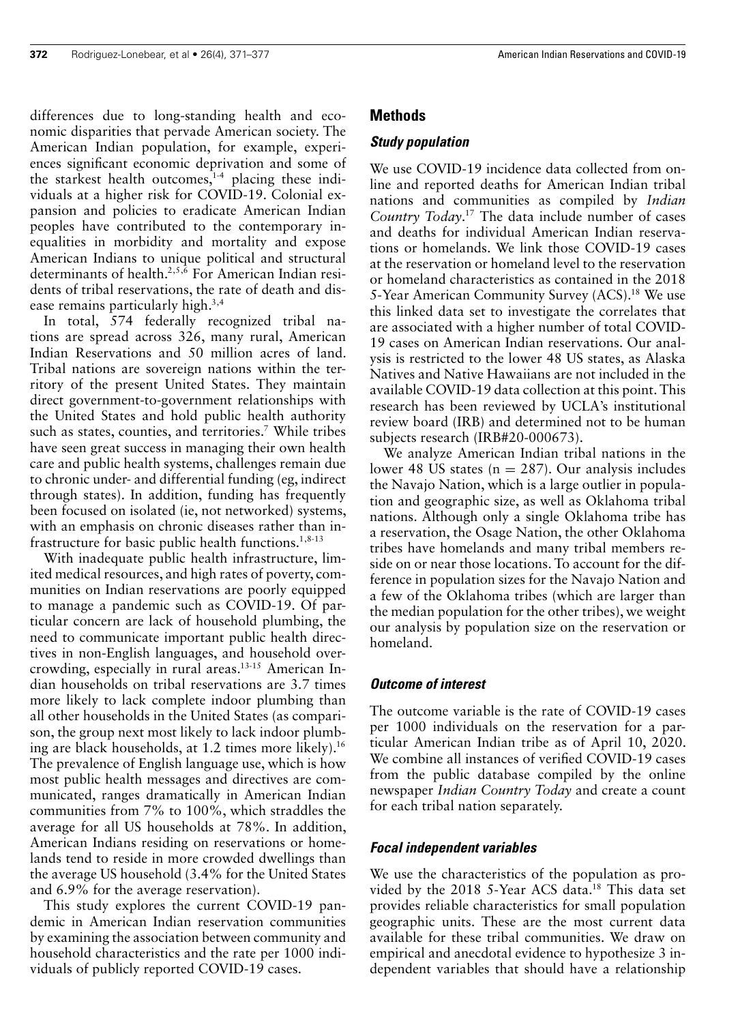differences due to long-standing health and economic disparities that pervade American society. The American Indian population, for example, experiences significant economic deprivation and some of the starkest health outcomes, $1.4$  placing these individuals at a higher risk for COVID-19. Colonial expansion and policies to eradicate American Indian peoples have contributed to the contemporary inequalities in morbidity and mortality and expose American Indians to unique political and structural determinants of health.2,5,6 For American Indian residents of tribal reservations, the rate of death and disease remains particularly high.<sup>3,4</sup>

In total, 574 federally recognized tribal nations are spread across 326, many rural, American Indian Reservations and 50 million acres of land. Tribal nations are sovereign nations within the territory of the present United States. They maintain direct government-to-government relationships with the United States and hold public health authority such as states, counties, and territories.<sup>7</sup> While tribes have seen great success in managing their own health care and public health systems, challenges remain due to chronic under- and differential funding (eg, indirect through states). In addition, funding has frequently been focused on isolated (ie, not networked) systems, with an emphasis on chronic diseases rather than infrastructure for basic public health functions.1,8-13

With inadequate public health infrastructure, limited medical resources, and high rates of poverty, communities on Indian reservations are poorly equipped to manage a pandemic such as COVID-19. Of particular concern are lack of household plumbing, the need to communicate important public health directives in non-English languages, and household overcrowding, especially in rural areas.13-15 American Indian households on tribal reservations are 3.7 times more likely to lack complete indoor plumbing than all other households in the United States (as comparison, the group next most likely to lack indoor plumbing are black households, at 1.2 times more likely).<sup>16</sup> The prevalence of English language use, which is how most public health messages and directives are communicated, ranges dramatically in American Indian communities from 7% to 100%, which straddles the average for all US households at 78%. In addition, American Indians residing on reservations or homelands tend to reside in more crowded dwellings than the average US household (3.4% for the United States and 6.9% for the average reservation).

This study explores the current COVID-19 pandemic in American Indian reservation communities by examining the association between community and household characteristics and the rate per 1000 individuals of publicly reported COVID-19 cases.

#### **Methods**

#### *Study population*

We use COVID-19 incidence data collected from online and reported deaths for American Indian tribal nations and communities as compiled by *Indian Country Today*. <sup>17</sup> The data include number of cases and deaths for individual American Indian reservations or homelands. We link those COVID-19 cases at the reservation or homeland level to the reservation or homeland characteristics as contained in the 2018 5-Year American Community Survey (ACS).<sup>18</sup> We use this linked data set to investigate the correlates that are associated with a higher number of total COVID-19 cases on American Indian reservations. Our analysis is restricted to the lower 48 US states, as Alaska Natives and Native Hawaiians are not included in the available COVID-19 data collection at this point. This research has been reviewed by UCLA's institutional review board (IRB) and determined not to be human subjects research (IRB#20-000673).

We analyze American Indian tribal nations in the lower 48 US states ( $n = 287$ ). Our analysis includes the Navajo Nation, which is a large outlier in population and geographic size, as well as Oklahoma tribal nations. Although only a single Oklahoma tribe has a reservation, the Osage Nation, the other Oklahoma tribes have homelands and many tribal members reside on or near those locations. To account for the difference in population sizes for the Navajo Nation and a few of the Oklahoma tribes (which are larger than the median population for the other tribes), we weight our analysis by population size on the reservation or homeland.

#### *Outcome of interest*

The outcome variable is the rate of COVID-19 cases per 1000 individuals on the reservation for a particular American Indian tribe as of April 10, 2020. We combine all instances of verified COVID-19 cases from the public database compiled by the online newspaper *Indian Country Today* and create a count for each tribal nation separately.

#### *Focal independent variables*

We use the characteristics of the population as provided by the 2018 5-Year ACS data. $18$  This data set provides reliable characteristics for small population geographic units. These are the most current data available for these tribal communities. We draw on empirical and anecdotal evidence to hypothesize 3 independent variables that should have a relationship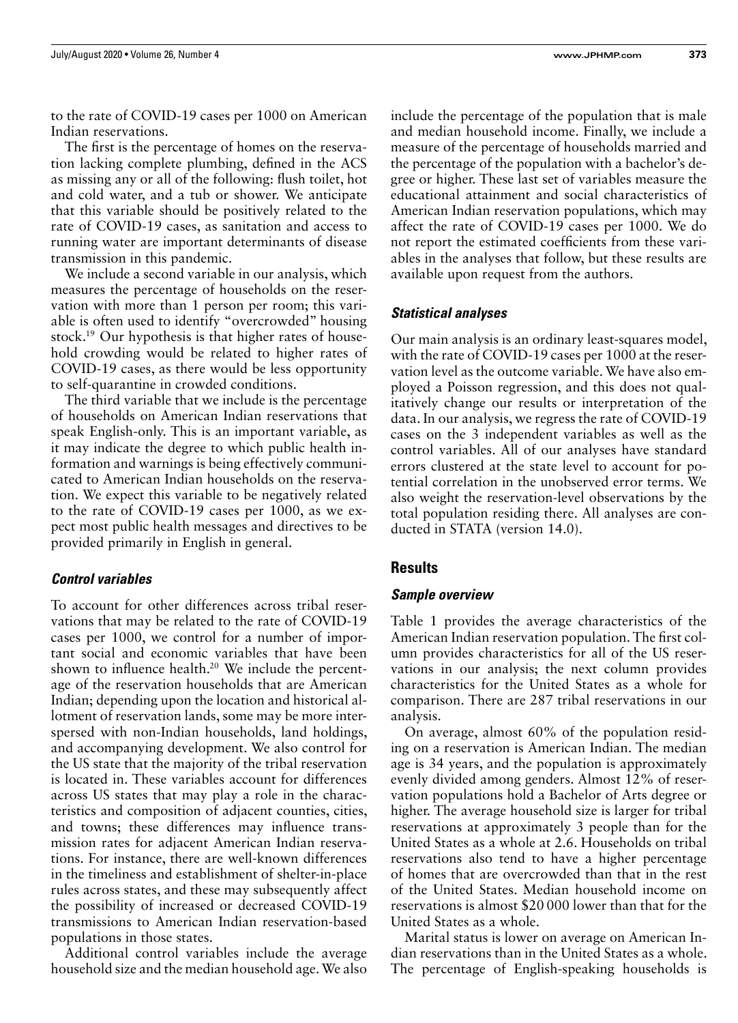to the rate of COVID-19 cases per 1000 on American Indian reservations.

The first is the percentage of homes on the reservation lacking complete plumbing, defined in the ACS as missing any or all of the following: flush toilet, hot and cold water, and a tub or shower. We anticipate that this variable should be positively related to the rate of COVID-19 cases, as sanitation and access to running water are important determinants of disease transmission in this pandemic.

We include a second variable in our analysis, which measures the percentage of households on the reservation with more than 1 person per room; this variable is often used to identify "overcrowded" housing stock.19 Our hypothesis is that higher rates of household crowding would be related to higher rates of COVID-19 cases, as there would be less opportunity to self-quarantine in crowded conditions.

The third variable that we include is the percentage of households on American Indian reservations that speak English-only. This is an important variable, as it may indicate the degree to which public health information and warnings is being effectively communicated to American Indian households on the reservation. We expect this variable to be negatively related to the rate of COVID-19 cases per 1000, as we expect most public health messages and directives to be provided primarily in English in general.

### *Control variables*

To account for other differences across tribal reservations that may be related to the rate of COVID-19 cases per 1000, we control for a number of important social and economic variables that have been shown to influence health.<sup>20</sup> We include the percentage of the reservation households that are American Indian; depending upon the location and historical allotment of reservation lands, some may be more interspersed with non-Indian households, land holdings, and accompanying development. We also control for the US state that the majority of the tribal reservation is located in. These variables account for differences across US states that may play a role in the characteristics and composition of adjacent counties, cities, and towns; these differences may influence transmission rates for adjacent American Indian reservations. For instance, there are well-known differences in the timeliness and establishment of shelter-in-place rules across states, and these may subsequently affect the possibility of increased or decreased COVID-19 transmissions to American Indian reservation-based populations in those states.

Additional control variables include the average household size and the median household age.We also include the percentage of the population that is male and median household income. Finally, we include a measure of the percentage of households married and the percentage of the population with a bachelor's degree or higher. These last set of variables measure the educational attainment and social characteristics of American Indian reservation populations, which may affect the rate of COVID-19 cases per 1000. We do not report the estimated coefficients from these variables in the analyses that follow, but these results are available upon request from the authors.

### *Statistical analyses*

Our main analysis is an ordinary least-squares model, with the rate of COVID-19 cases per 1000 at the reservation level as the outcome variable. We have also employed a Poisson regression, and this does not qualitatively change our results or interpretation of the data. In our analysis, we regress the rate of COVID-19 cases on the 3 independent variables as well as the control variables. All of our analyses have standard errors clustered at the state level to account for potential correlation in the unobserved error terms. We also weight the reservation-level observations by the total population residing there. All analyses are conducted in STATA (version 14.0).

## **Results**

#### *Sample overview*

Table 1 provides the average characteristics of the American Indian reservation population. The first column provides characteristics for all of the US reservations in our analysis; the next column provides characteristics for the United States as a whole for comparison. There are 287 tribal reservations in our analysis.

On average, almost 60% of the population residing on a reservation is American Indian. The median age is 34 years, and the population is approximately evenly divided among genders. Almost 12% of reservation populations hold a Bachelor of Arts degree or higher. The average household size is larger for tribal reservations at approximately 3 people than for the United States as a whole at 2.6. Households on tribal reservations also tend to have a higher percentage of homes that are overcrowded than that in the rest of the United States. Median household income on reservations is almost \$20 000 lower than that for the United States as a whole.

Marital status is lower on average on American Indian reservations than in the United States as a whole. The percentage of English-speaking households is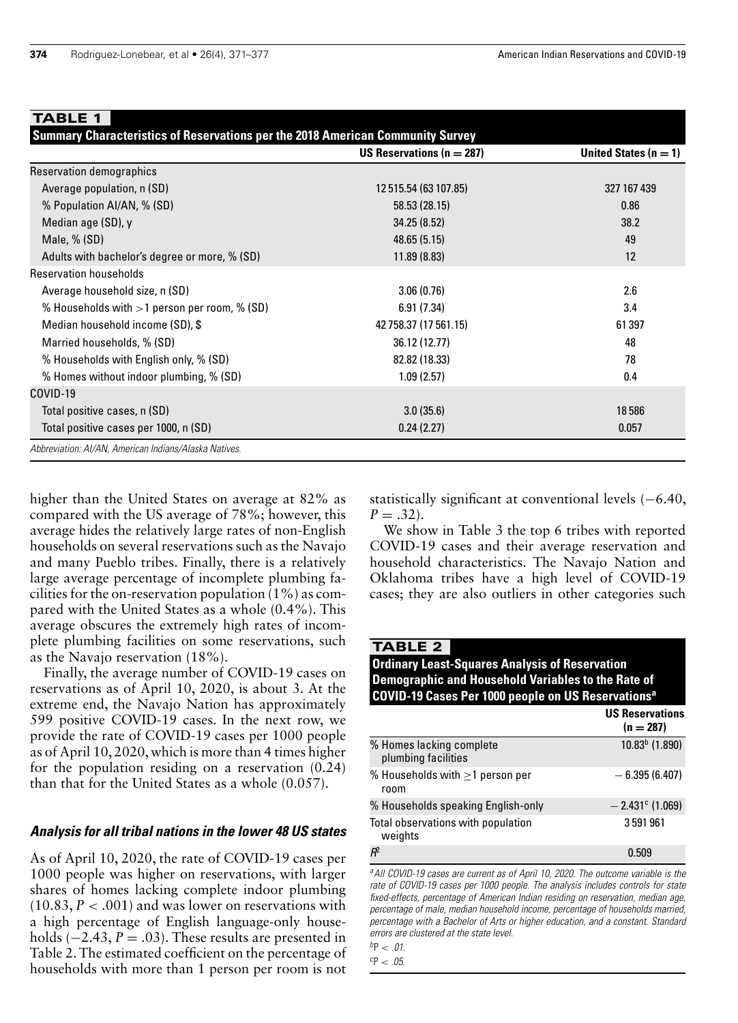| .Br<br>a., |  |
|------------|--|
|------------|--|

|                                                | US Reservations ( $n = 287$ ) | United States $(n = 1)$ |
|------------------------------------------------|-------------------------------|-------------------------|
| <b>Reservation demographics</b>                |                               |                         |
| Average population, n (SD)                     | 12 515.54 (63 107.85)         | 327 167 439             |
| % Population AI/AN, % (SD)                     | 58.53 (28.15)                 | 0.86                    |
| Median age (SD), y                             | 34.25(8.52)                   | 38.2                    |
| Male, % (SD)                                   | 48.65(5.15)                   | 49                      |
| Adults with bachelor's degree or more, % (SD)  | 11.89 (8.83)                  | 12                      |
| Reservation households                         |                               |                         |
| Average household size, n (SD)                 | 3.06(0.76)                    | 2.6                     |
| % Households with $>1$ person per room, % (SD) | 6.91(7.34)                    | 3.4                     |
| Median household income (SD), \$               | 42 758.37 (17 561.15)         | 61 397                  |
| Married households, % (SD)                     | 36.12 (12.77)                 | 48                      |
| % Households with English only, % (SD)         | 82.82 (18.33)                 | 78                      |
| % Homes without indoor plumbing, % (SD)        | 1.09(2.57)                    | 0.4                     |
| COVID-19                                       |                               |                         |
| Total positive cases, n (SD)                   | 3.0(35.6)                     | 18586                   |
| Total positive cases per 1000, n (SD)          | 0.24(2.27)                    | 0.057                   |

higher than the United States on average at 82% as compared with the US average of 78%; however, this average hides the relatively large rates of non-English households on several reservations such as the Navajo and many Pueblo tribes. Finally, there is a relatively large average percentage of incomplete plumbing facilities for the on-reservation population (1%) as compared with the United States as a whole (0.4%). This average obscures the extremely high rates of incomplete plumbing facilities on some reservations, such as the Navajo reservation (18%).

Finally, the average number of COVID-19 cases on reservations as of April 10, 2020, is about 3. At the extreme end, the Navajo Nation has approximately 599 positive COVID-19 cases. In the next row, we provide the rate of COVID-19 cases per 1000 people as of April 10, 2020, which is more than 4 times higher for the population residing on a reservation (0.24) than that for the United States as a whole (0.057).

#### *Analysis for all tribal nations in the lower 48 US states*

As of April 10, 2020, the rate of COVID-19 cases per 1000 people was higher on reservations, with larger shares of homes lacking complete indoor plumbing  $(10.83, P < .001)$  and was lower on reservations with a high percentage of English language-only households  $(-2.43, P = .03)$ . These results are presented in Table 2. The estimated coefficient on the percentage of households with more than 1 person per room is not

statistically significant at conventional levels (−6.40,  $P = .32$ ).

We show in Table 3 the top 6 tribes with reported COVID-19 cases and their average reservation and household characteristics. The Navajo Nation and Oklahoma tribes have a high level of COVID-19 cases; they are also outliers in other categories such

#### **TABLE 2**

**Ordinary Least-Squares Analysis of Reservation Demographic and Household Variables to the Rate of COVID-19 Cases Per 1000 people on US Reservationsa**

|                                                 | <b>US Reservations</b><br>$(n = 287)$ |
|-------------------------------------------------|---------------------------------------|
| % Homes lacking complete<br>plumbing facilities | 10.83 <sup>b</sup> (1.890)            |
| % Households with $>1$ person per<br>room       | $-6.395(6.407)$                       |
| % Households speaking English-only              | $-2.431^{\circ}$ (1.069)              |
| Total observations with population<br>weights   | 3591961                               |
| $R^2$                                           | 0.509                                 |

<sup>a</sup>All COVID-19 cases are current as of April 10, 2020. The outcome variable is the rate of COVID-19 cases per 1000 people. The analysis includes controls for state fixed-effects, percentage of American Indian residing on reservation, median age, percentage of male, median household income, percentage of households married, percentage with a Bachelor of Arts or higher education, and a constant. Standard errors are clustered at the state level.

 $^{b}P$  < .01.

 $\text{CP} < .05$ .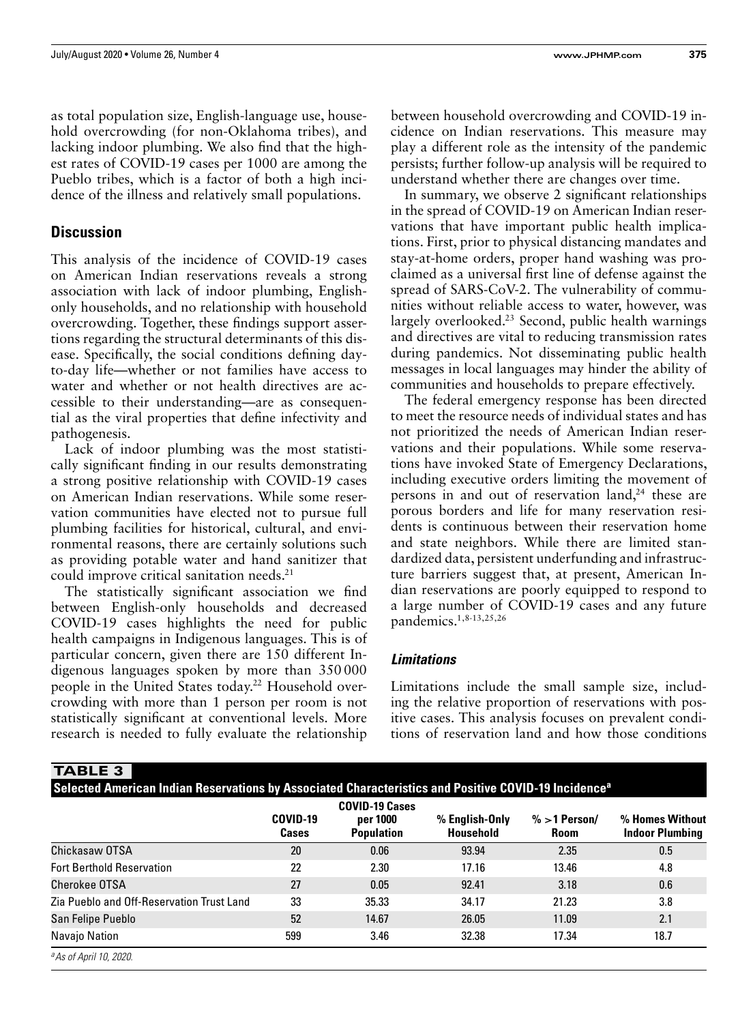as total population size, English-language use, household overcrowding (for non-Oklahoma tribes), and lacking indoor plumbing. We also find that the highest rates of COVID-19 cases per 1000 are among the Pueblo tribes, which is a factor of both a high incidence of the illness and relatively small populations.

## **Discussion**

**TABLE 3**

This analysis of the incidence of COVID-19 cases on American Indian reservations reveals a strong association with lack of indoor plumbing, Englishonly households, and no relationship with household overcrowding. Together, these findings support assertions regarding the structural determinants of this disease. Specifically, the social conditions defining dayto-day life—whether or not families have access to water and whether or not health directives are accessible to their understanding—are as consequential as the viral properties that define infectivity and pathogenesis.

Lack of indoor plumbing was the most statistically significant finding in our results demonstrating a strong positive relationship with COVID-19 cases on American Indian reservations. While some reservation communities have elected not to pursue full plumbing facilities for historical, cultural, and environmental reasons, there are certainly solutions such as providing potable water and hand sanitizer that could improve critical sanitation needs.<sup>21</sup>

The statistically significant association we find between English-only households and decreased COVID-19 cases highlights the need for public health campaigns in Indigenous languages. This is of particular concern, given there are 150 different Indigenous languages spoken by more than 350 000 people in the United States today.<sup>22</sup> Household overcrowding with more than 1 person per room is not statistically significant at conventional levels. More research is needed to fully evaluate the relationship

between household overcrowding and COVID-19 incidence on Indian reservations. This measure may play a different role as the intensity of the pandemic persists; further follow-up analysis will be required to understand whether there are changes over time.

In summary, we observe 2 significant relationships in the spread of COVID-19 on American Indian reservations that have important public health implications. First, prior to physical distancing mandates and stay-at-home orders, proper hand washing was proclaimed as a universal first line of defense against the spread of SARS-CoV-2. The vulnerability of communities without reliable access to water, however, was largely overlooked.<sup>23</sup> Second, public health warnings and directives are vital to reducing transmission rates during pandemics. Not disseminating public health messages in local languages may hinder the ability of communities and households to prepare effectively.

The federal emergency response has been directed to meet the resource needs of individual states and has not prioritized the needs of American Indian reservations and their populations. While some reservations have invoked State of Emergency Declarations, including executive orders limiting the movement of persons in and out of reservation land, $24$  these are porous borders and life for many reservation residents is continuous between their reservation home and state neighbors. While there are limited standardized data, persistent underfunding and infrastructure barriers suggest that, at present, American Indian reservations are poorly equipped to respond to a large number of COVID-19 cases and any future pandemics.1,8-13,25,26

## *Limitations*

Limitations include the small sample size, including the relative proportion of reservations with positive cases. This analysis focuses on prevalent conditions of reservation land and how those conditions

|                                           |                   | <b>COVID-19 Cases</b>         |                                    |                                |                                           |
|-------------------------------------------|-------------------|-------------------------------|------------------------------------|--------------------------------|-------------------------------------------|
|                                           | COVID-19<br>Cases | per 1000<br><b>Population</b> | % English-Only<br><b>Household</b> | $% > 1$ Person/<br><b>Room</b> | % Homes Without<br><b>Indoor Plumbing</b> |
| Chickasaw OTSA                            | 20                | 0.06                          | 93.94                              | 2.35                           | 0.5                                       |
| <b>Fort Berthold Reservation</b>          | 22                | 2.30                          | 17.16                              | 13.46                          | 4.8                                       |
| Cherokee OTSA                             | 27                | 0.05                          | 92.41                              | 3.18                           | 0.6                                       |
| Zia Pueblo and Off-Reservation Trust Land | 33                | 35.33                         | 34.17                              | 21.23                          | 3.8                                       |
| San Felipe Pueblo                         | 52                | 14.67                         | 26.05                              | 11.09                          | 2.1                                       |
| Navajo Nation                             | 599               | 3.46                          | 32.38                              | 17.34                          | 18.7                                      |
| <sup>a</sup> As of April 10, 2020.        |                   |                               |                                    |                                |                                           |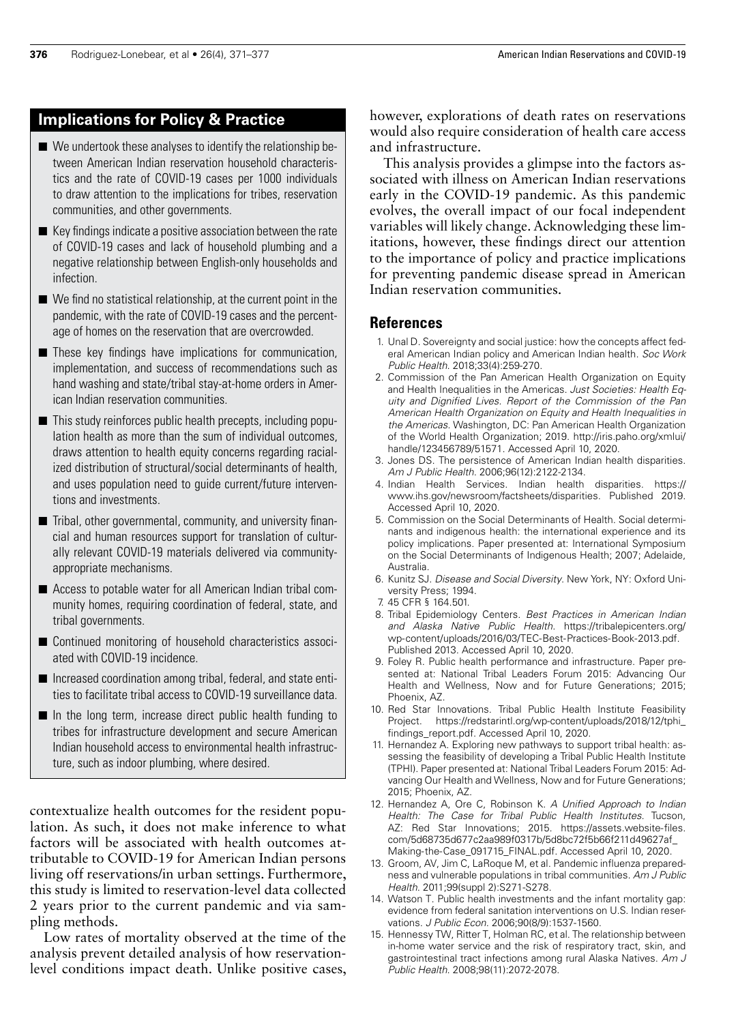# **Implications for Policy & Practice**

- We undertook these analyses to identify the relationship between American Indian reservation household characteristics and the rate of COVID-19 cases per 1000 individuals to draw attention to the implications for tribes, reservation communities, and other governments.
- Key findings indicate a positive association between the rate of COVID-19 cases and lack of household plumbing and a negative relationship between English-only households and infection.
- We find no statistical relationship, at the current point in the pandemic, with the rate of COVID-19 cases and the percentage of homes on the reservation that are overcrowded.
- These key findings have implications for communication, implementation, and success of recommendations such as hand washing and state/tribal stay-at-home orders in American Indian reservation communities.
- This study reinforces public health precepts, including population health as more than the sum of individual outcomes, draws attention to health equity concerns regarding racialized distribution of structural/social determinants of health, and uses population need to guide current/future interventions and investments.
- Tribal, other governmental, community, and university financial and human resources support for translation of culturally relevant COVID-19 materials delivered via communityappropriate mechanisms.
- Access to potable water for all American Indian tribal community homes, requiring coordination of federal, state, and tribal governments.
- Continued monitoring of household characteristics associated with COVID-19 incidence.
- Increased coordination among tribal, federal, and state entities to facilitate tribal access to COVID-19 surveillance data.
- In the long term, increase direct public health funding to tribes for infrastructure development and secure American Indian household access to environmental health infrastructure, such as indoor plumbing, where desired.

contextualize health outcomes for the resident population. As such, it does not make inference to what factors will be associated with health outcomes attributable to COVID-19 for American Indian persons living off reservations/in urban settings. Furthermore, this study is limited to reservation-level data collected 2 years prior to the current pandemic and via sampling methods.

Low rates of mortality observed at the time of the analysis prevent detailed analysis of how reservationlevel conditions impact death. Unlike positive cases, however, explorations of death rates on reservations would also require consideration of health care access and infrastructure.

This analysis provides a glimpse into the factors associated with illness on American Indian reservations early in the COVID-19 pandemic. As this pandemic evolves, the overall impact of our focal independent variables will likely change. Acknowledging these limitations, however, these findings direct our attention to the importance of policy and practice implications for preventing pandemic disease spread in American Indian reservation communities.

## **References**

- 1. Unal D. Sovereignty and social justice: how the concepts affect federal American Indian policy and American Indian health. Soc Work Public Health. 2018;33(4):259-270.
- 2. Commission of the Pan American Health Organization on Equity and Health Inequalities in the Americas. Just Societies: Health Equity and Dignified Lives. Report of the Commission of the Pan American Health Organization on Equity and Health Inequalities in the Americas. Washington, DC: Pan American Health Organization of the World Health Organization; 2019. http://iris.paho.org/xmlui/ [handle/123456789/51571. Accessed April 10, 2020.](http://iris.paho.org/xmlui/handle/123456789/51571)
- 3. Jones DS. The persistence of American Indian health disparities. Am J Public Health. 2006;96(12):2122-2134.
- 4. [Indian Health Services. Indian health disparities. https://](https://www.ihs.gov/newsroom/factsheets/disparities) www.ihs.gov/newsroom/factsheets/disparities. Published 2019. Accessed April 10, 2020.
- 5. Commission on the Social Determinants of Health. Social determinants and indigenous health: the international experience and its policy implications. Paper presented at: International Symposium on the Social Determinants of Indigenous Health; 2007; Adelaide, Australia.
- 6. Kunitz SJ. Disease and Social Diversity. New York, NY: Oxford University Press; 1994.
- 7. 45 CFR § 164.501.
- 8. Tribal Epidemiology Centers. Best Practices in American Indian and Alaska Native Public Health. https://tribalepicenters.org/ [wp-content/uploads/2016/03/TEC-Best-Practices-Book-2013.pdf.](https://tribalepicenters.org/wp-content/uploads/2016/03/TEC-Best-Practices-Book-2013.pdf) Published 2013. Accessed April 10, 2020.
- 9. Foley R. Public health performance and infrastructure. Paper presented at: National Tribal Leaders Forum 2015: Advancing Our Health and Wellness, Now and for Future Generations; 2015; Phoenix, AZ.
- 10. Red Star Innovations. Tribal Public Health Institute Feasibility [Project. https://redstarintl.org/wp-content/uploads/2018/12/tphi\\_](https://redstarintl.org/wp-content/uploads/2018/12/tphi_findings_report.pdf) findings\_report.pdf. Accessed April 10, 2020.
- 11. Hernandez A. Exploring new pathways to support tribal health: assessing the feasibility of developing a Tribal Public Health Institute (TPHI). Paper presented at: National Tribal Leaders Forum 2015: Advancing Our Health and Wellness, Now and for Future Generations; 2015; Phoenix, AZ.
- 12. Hernandez A, Ore C, Robinson K. A Unified Approach to Indian Health: The Case for Tribal Public Health Institutes. Tucson, AZ: Red Star Innovations; 2015. https://assets.website-files. [com/5d68735d677c2aa989f0317b/5d8bc72f5b66f211d49627af\\_](https://assets.website-files.com/5d68735d677c2aa989f0317b/5d8bc72f5b66f211d49627af_Making-the-Case_091715_FINAL.pdf) Making-the-Case\_091715\_FINAL.pdf. Accessed April 10, 2020.
- 13. Groom, AV, Jim C, LaRoque M, et al. Pandemic influenza preparedness and vulnerable populations in tribal communities. Am J Public Health. 2011;99(suppl 2):S271-S278.
- 14. Watson T. Public health investments and the infant mortality gap: evidence from federal sanitation interventions on U.S. Indian reservations. J Public Econ. 2006;90(8/9):1537-1560.
- 15. Hennessy TW, Ritter T, Holman RC, et al. The relationship between in-home water service and the risk of respiratory tract, skin, and gastrointestinal tract infections among rural Alaska Natives. Am J Public Health. 2008;98(11):2072-2078.